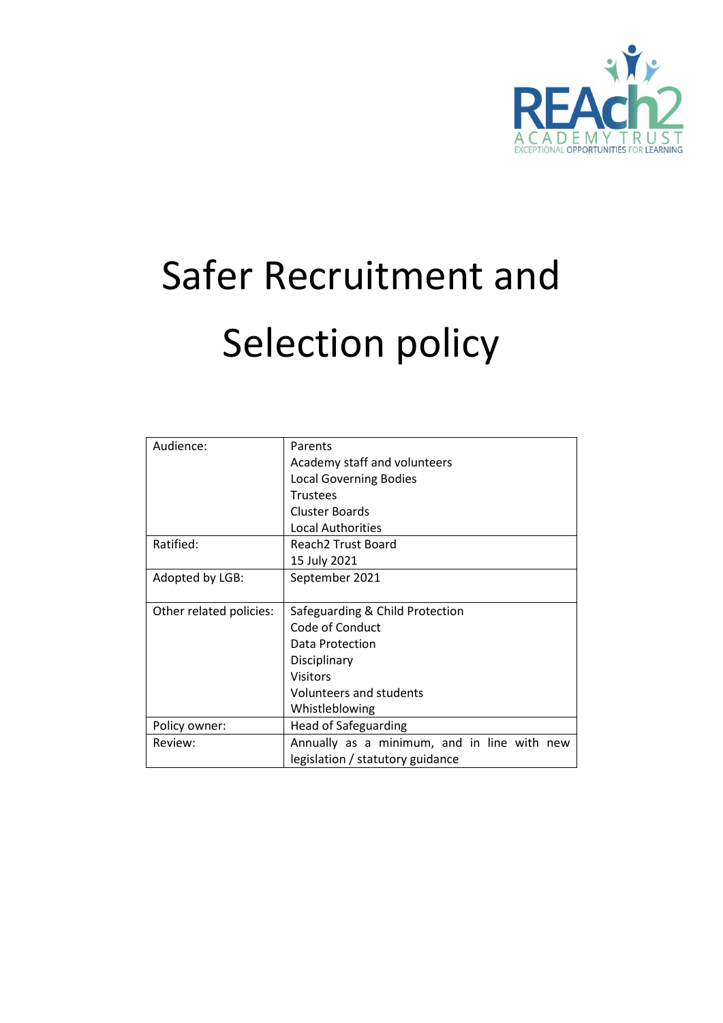

# Safer Recruitment and Selection policy

| Audience:               | Parents                                     |
|-------------------------|---------------------------------------------|
|                         | Academy staff and volunteers                |
|                         | <b>Local Governing Bodies</b>               |
|                         | <b>Trustees</b>                             |
|                         | <b>Cluster Boards</b>                       |
|                         | <b>Local Authorities</b>                    |
| Ratified:               | Reach2 Trust Board                          |
|                         | 15 July 2021                                |
| Adopted by LGB:         | September 2021                              |
|                         |                                             |
| Other related policies: | Safeguarding & Child Protection             |
|                         | Code of Conduct                             |
|                         | Data Protection                             |
|                         | Disciplinary                                |
|                         | <b>Visitors</b>                             |
|                         |                                             |
|                         | Volunteers and students                     |
|                         | Whistleblowing                              |
| Policy owner:           | <b>Head of Safeguarding</b>                 |
| Review:                 | Annually as a minimum, and in line with new |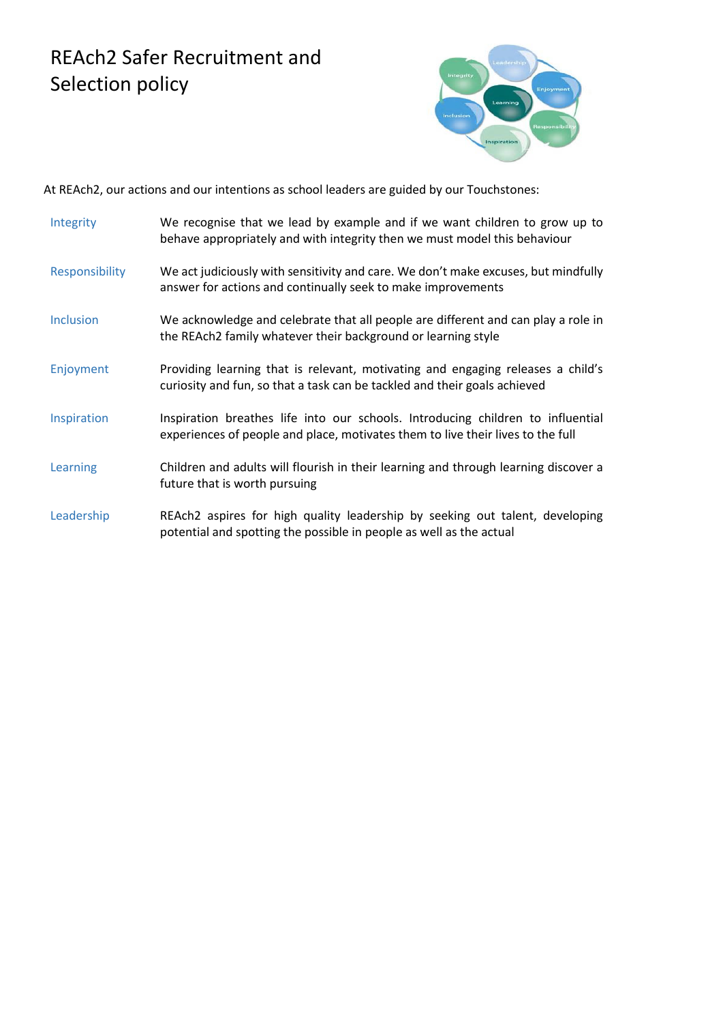# REAch2 Safer Recruitment and Selection policy



At REAch2, our actions and our intentions as school leaders are guided by our Touchstones:

- Integrity We recognise that we lead by example and if we want children to grow up to behave appropriately and with integrity then we must model this behaviour
- Responsibility We act judiciously with sensitivity and care. We don't make excuses, but mindfully answer for actions and continually seek to make improvements
- Inclusion We acknowledge and celebrate that all people are different and can play a role in the REAch2 family whatever their background or learning style
- Enjoyment Providing learning that is relevant, motivating and engaging releases a child's curiosity and fun, so that a task can be tackled and their goals achieved
- Inspiration Inspiration breathes life into our schools. Introducing children to influential experiences of people and place, motivates them to live their lives to the full
- Learning Children and adults will flourish in their learning and through learning discover a future that is worth pursuing
- Leadership REAch2 aspires for high quality leadership by seeking out talent, developing potential and spotting the possible in people as well as the actual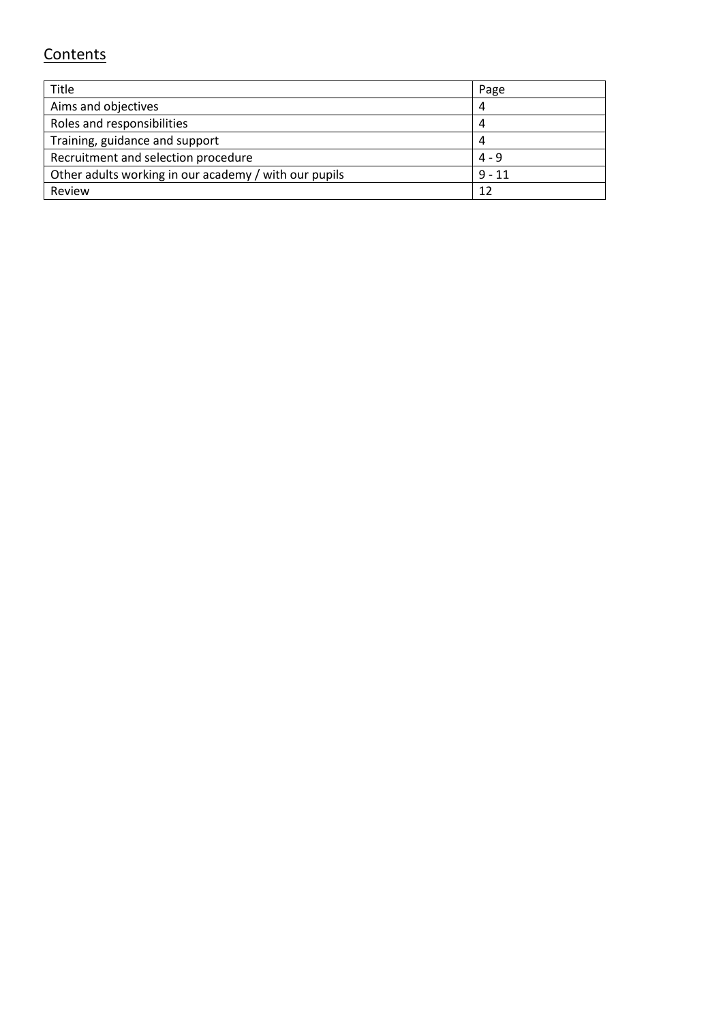# **Contents**

| Title                                                 | Page     |
|-------------------------------------------------------|----------|
| Aims and objectives                                   |          |
| Roles and responsibilities                            |          |
| Training, guidance and support                        |          |
| Recruitment and selection procedure                   | $4 - 9$  |
| Other adults working in our academy / with our pupils | $9 - 11$ |
| Review                                                | 12       |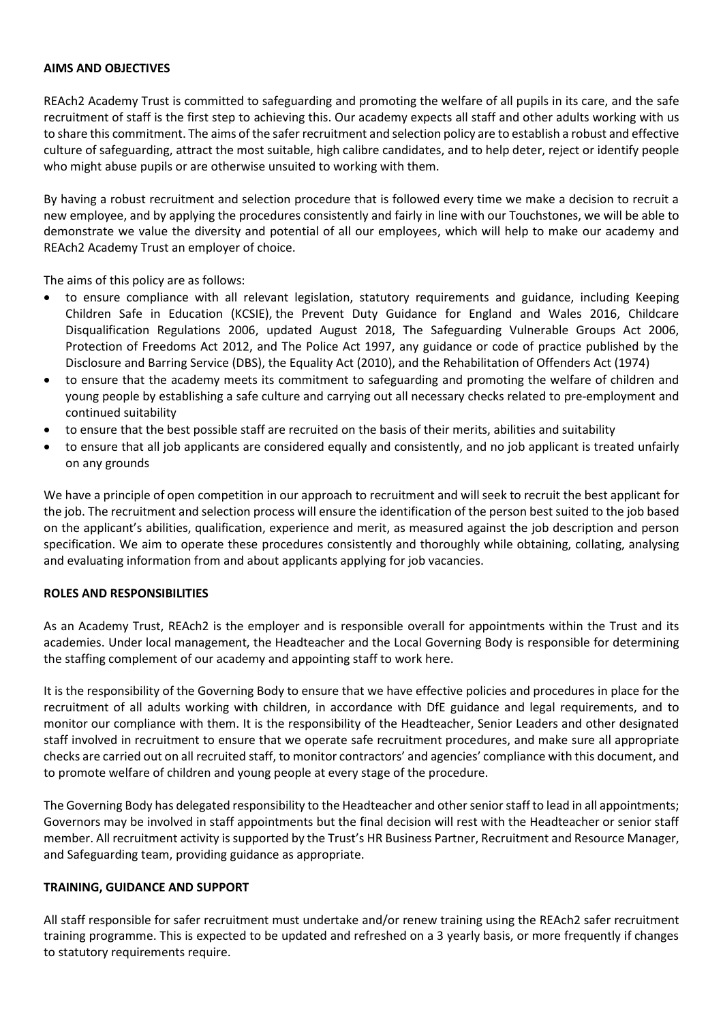#### **AIMS AND OBJECTIVES**

REAch2 Academy Trust is committed to safeguarding and promoting the welfare of all pupils in its care, and the safe recruitment of staff is the first step to achieving this. Our academy expects all staff and other adults working with us to share this commitment. The aims of the safer recruitment and selection policy are to establish a robust and effective culture of safeguarding, attract the most suitable, high calibre candidates, and to help deter, reject or identify people who might abuse pupils or are otherwise unsuited to working with them.

By having a robust recruitment and selection procedure that is followed every time we make a decision to recruit a new employee, and by applying the procedures consistently and fairly in line with our Touchstones, we will be able to demonstrate we value the diversity and potential of all our employees, which will help to make our academy and REAch2 Academy Trust an employer of choice.

The aims of this policy are as follows:

- to ensure compliance with all relevant legislation, statutory requirements and guidance, including Keeping Children Safe in Education (KCSIE), the Prevent Duty Guidance for England and Wales 2016, Childcare Disqualification Regulations 2006, updated August 2018, The Safeguarding Vulnerable Groups Act 2006, Protection of Freedoms Act 2012, and The Police Act 1997, any guidance or code of practice published by the Disclosure and Barring Service (DBS), the Equality Act (2010), and the Rehabilitation of Offenders Act (1974)
- to ensure that the academy meets its commitment to safeguarding and promoting the welfare of children and young people by establishing a safe culture and carrying out all necessary checks related to pre-employment and continued suitability
- to ensure that the best possible staff are recruited on the basis of their merits, abilities and suitability
- to ensure that all job applicants are considered equally and consistently, and no job applicant is treated unfairly on any grounds

We have a principle of open competition in our approach to recruitment and will seek to recruit the best applicant for the job. The recruitment and selection process will ensure the identification of the person best suited to the job based on the applicant's abilities, qualification, experience and merit, as measured against the job description and person specification. We aim to operate these procedures consistently and thoroughly while obtaining, collating, analysing and evaluating information from and about applicants applying for job vacancies.

# **ROLES AND RESPONSIBILITIES**

As an Academy Trust, REAch2 is the employer and is responsible overall for appointments within the Trust and its academies. Under local management, the Headteacher and the Local Governing Body is responsible for determining the staffing complement of our academy and appointing staff to work here.

It is the responsibility of the Governing Body to ensure that we have effective policies and procedures in place for the recruitment of all adults working with children, in accordance with DfE guidance and legal requirements, and to monitor our compliance with them. It is the responsibility of the Headteacher, Senior Leaders and other designated staff involved in recruitment to ensure that we operate safe recruitment procedures, and make sure all appropriate checks are carried out on all recruited staff, to monitor contractors' and agencies' compliance with this document, and to promote welfare of children and young people at every stage of the procedure.

The Governing Body has delegated responsibility to the Headteacher and other senior staff to lead in all appointments; Governors may be involved in staff appointments but the final decision will rest with the Headteacher or senior staff member. All recruitment activity is supported by the Trust's HR Business Partner, Recruitment and Resource Manager, and Safeguarding team, providing guidance as appropriate.

# **TRAINING, GUIDANCE AND SUPPORT**

All staff responsible for safer recruitment must undertake and/or renew training using the REAch2 safer recruitment training programme. This is expected to be updated and refreshed on a 3 yearly basis, or more frequently if changes to statutory requirements require.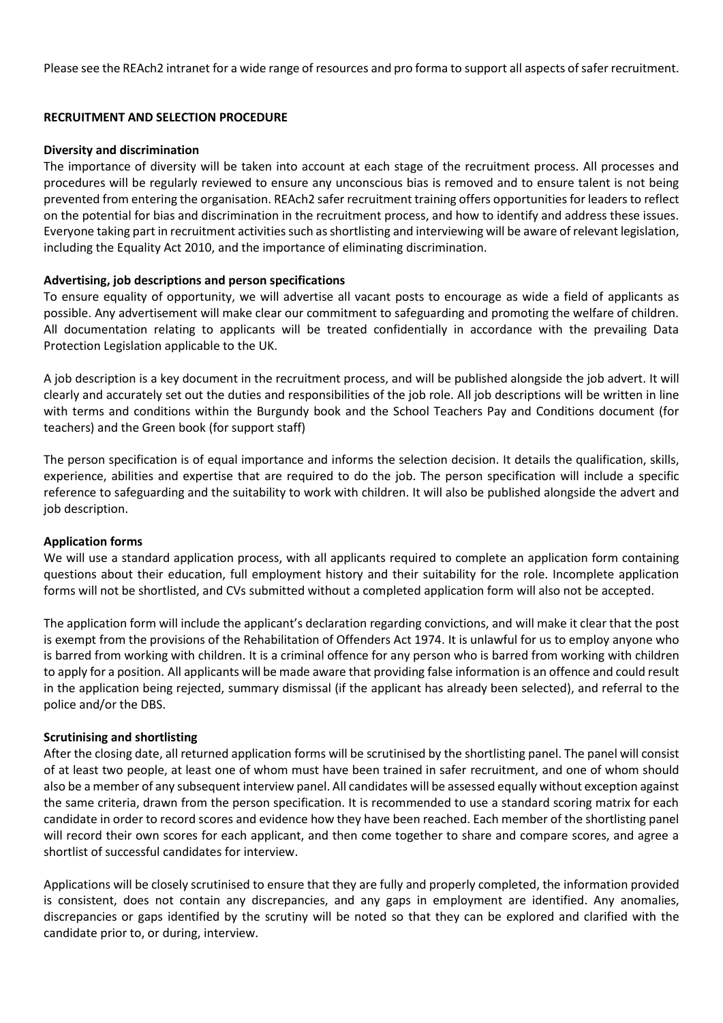Please see the REAch2 intranet for a wide range of resources and pro forma to support all aspects of safer recruitment.

# **RECRUITMENT AND SELECTION PROCEDURE**

#### **Diversity and discrimination**

The importance of diversity will be taken into account at each stage of the recruitment process. All processes and procedures will be regularly reviewed to ensure any unconscious bias is removed and to ensure talent is not being prevented from entering the organisation. REAch2 safer recruitment training offers opportunities for leaders to reflect on the potential for bias and discrimination in the recruitment process, and how to identify and address these issues. Everyone taking part in recruitment activities such as shortlisting and interviewing will be aware of relevant legislation, including the Equality Act 2010, and the importance of eliminating discrimination.

# **Advertising, job descriptions and person specifications**

To ensure equality of opportunity, we will advertise all vacant posts to encourage as wide a field of applicants as possible. Any advertisement will make clear our commitment to safeguarding and promoting the welfare of children. All documentation relating to applicants will be treated confidentially in accordance with the prevailing Data Protection Legislation applicable to the UK.

A job description is a key document in the recruitment process, and will be published alongside the job advert. It will clearly and accurately set out the duties and responsibilities of the job role. All job descriptions will be written in line with terms and conditions within the Burgundy book and the School Teachers Pay and Conditions document (for teachers) and the Green book (for support staff)

The person specification is of equal importance and informs the selection decision. It details the qualification, skills, experience, abilities and expertise that are required to do the job. The person specification will include a specific reference to safeguarding and the suitability to work with children. It will also be published alongside the advert and job description.

# **Application forms**

We will use a standard application process, with all applicants required to complete an application form containing questions about their education, full employment history and their suitability for the role. Incomplete application forms will not be shortlisted, and CVs submitted without a completed application form will also not be accepted.

The application form will include the applicant's declaration regarding convictions, and will make it clear that the post is exempt from the provisions of the Rehabilitation of Offenders Act 1974. It is unlawful for us to employ anyone who is barred from working with children. It is a criminal offence for any person who is barred from working with children to apply for a position. All applicants will be made aware that providing false information is an offence and could result in the application being rejected, summary dismissal (if the applicant has already been selected), and referral to the police and/or the DBS.

#### **Scrutinising and shortlisting**

After the closing date, all returned application forms will be scrutinised by the shortlisting panel. The panel will consist of at least two people, at least one of whom must have been trained in safer recruitment, and one of whom should also be a member of any subsequent interview panel. All candidates will be assessed equally without exception against the same criteria, drawn from the person specification. It is recommended to use a standard scoring matrix for each candidate in order to record scores and evidence how they have been reached. Each member of the shortlisting panel will record their own scores for each applicant, and then come together to share and compare scores, and agree a shortlist of successful candidates for interview.

Applications will be closely scrutinised to ensure that they are fully and properly completed, the information provided is consistent, does not contain any discrepancies, and any gaps in employment are identified. Any anomalies, discrepancies or gaps identified by the scrutiny will be noted so that they can be explored and clarified with the candidate prior to, or during, interview.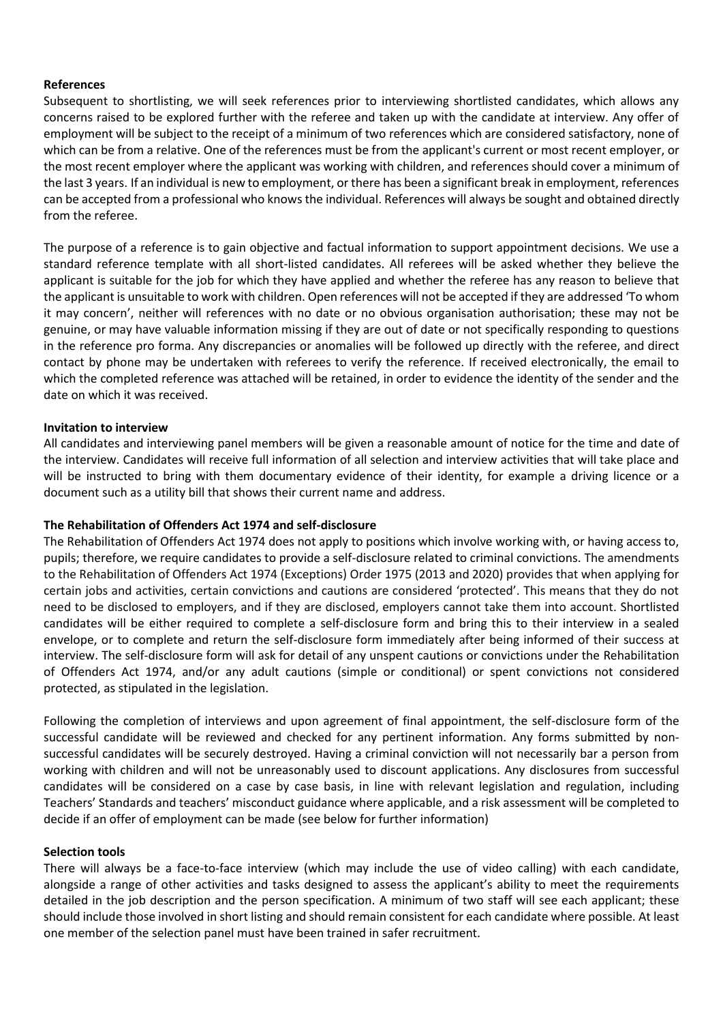# **References**

Subsequent to shortlisting, we will seek references prior to interviewing shortlisted candidates, which allows any concerns raised to be explored further with the referee and taken up with the candidate at interview. Any offer of employment will be subject to the receipt of a minimum of two references which are considered satisfactory, none of which can be from a relative. One of the references must be from the applicant's current or most recent employer, or the most recent employer where the applicant was working with children, and references should cover a minimum of the last 3 years. If an individual is new to employment, or there has been a significant break in employment, references can be accepted from a professional who knows the individual. References will always be sought and obtained directly from the referee.

The purpose of a reference is to gain objective and factual information to support appointment decisions. We use a standard reference template with all short-listed candidates. All referees will be asked whether they believe the applicant is suitable for the job for which they have applied and whether the referee has any reason to believe that the applicant is unsuitable to work with children. Open references will not be accepted if they are addressed 'To whom it may concern', neither will references with no date or no obvious organisation authorisation; these may not be genuine, or may have valuable information missing if they are out of date or not specifically responding to questions in the reference pro forma. Any discrepancies or anomalies will be followed up directly with the referee, and direct contact by phone may be undertaken with referees to verify the reference. If received electronically, the email to which the completed reference was attached will be retained, in order to evidence the identity of the sender and the date on which it was received.

# **Invitation to interview**

All candidates and interviewing panel members will be given a reasonable amount of notice for the time and date of the interview. Candidates will receive full information of all selection and interview activities that will take place and will be instructed to bring with them documentary evidence of their identity, for example a driving licence or a document such as a utility bill that shows their current name and address.

# **The Rehabilitation of Offenders Act 1974 and self-disclosure**

The Rehabilitation of Offenders Act 1974 does not apply to positions which involve working with, or having access to, pupils; therefore, we require candidates to provide a self-disclosure related to criminal convictions. The amendments to the Rehabilitation of Offenders Act 1974 (Exceptions) Order 1975 (2013 and 2020) provides that when applying for certain jobs and activities, certain convictions and cautions are considered 'protected'. This means that they do not need to be disclosed to employers, and if they are disclosed, employers cannot take them into account. Shortlisted candidates will be either required to complete a self-disclosure form and bring this to their interview in a sealed envelope, or to complete and return the self-disclosure form immediately after being informed of their success at interview. The self-disclosure form will ask for detail of any unspent cautions or convictions under the Rehabilitation of Offenders Act 1974, and/or any adult cautions (simple or conditional) or spent convictions not considered protected, as stipulated in the legislation.

Following the completion of interviews and upon agreement of final appointment, the self-disclosure form of the successful candidate will be reviewed and checked for any pertinent information. Any forms submitted by nonsuccessful candidates will be securely destroyed. Having a criminal conviction will not necessarily bar a person from working with children and will not be unreasonably used to discount applications. Any disclosures from successful candidates will be considered on a case by case basis, in line with relevant legislation and regulation, including Teachers' Standards and teachers' misconduct guidance where applicable, and a risk assessment will be completed to decide if an offer of employment can be made (see below for further information)

# **Selection tools**

There will always be a face-to-face interview (which may include the use of video calling) with each candidate, alongside a range of other activities and tasks designed to assess the applicant's ability to meet the requirements detailed in the job description and the person specification. A minimum of two staff will see each applicant; these should include those involved in short listing and should remain consistent for each candidate where possible. At least one member of the selection panel must have been trained in safer recruitment.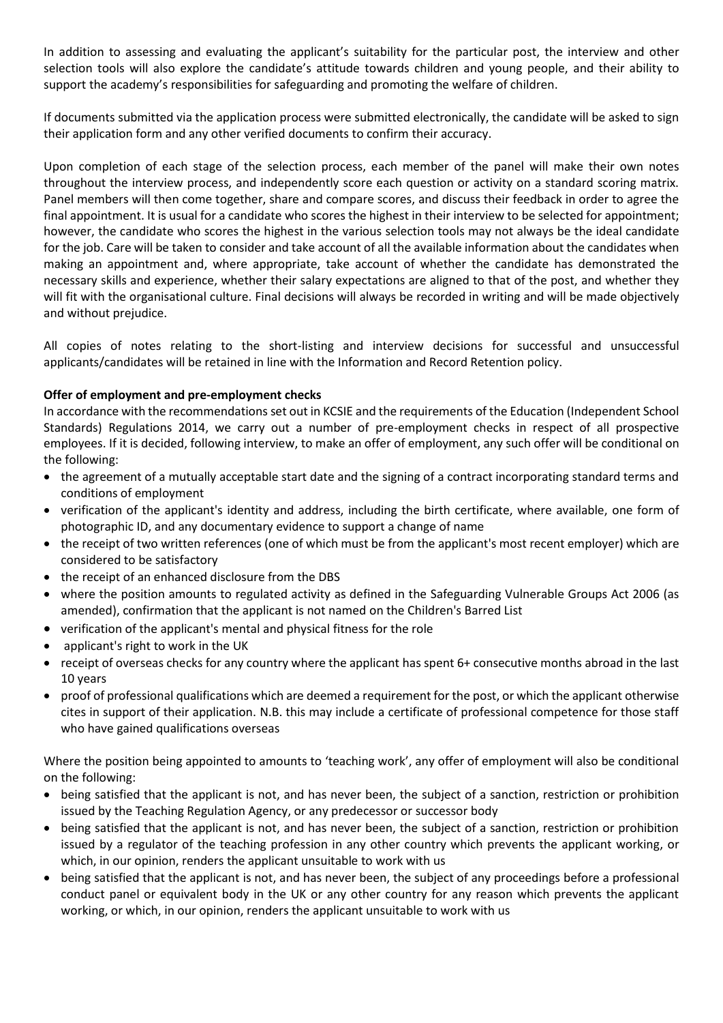In addition to assessing and evaluating the applicant's suitability for the particular post, the interview and other selection tools will also explore the candidate's attitude towards children and young people, and their ability to support the academy's responsibilities for safeguarding and promoting the welfare of children.

If documents submitted via the application process were submitted electronically, the candidate will be asked to sign their application form and any other verified documents to confirm their accuracy.

Upon completion of each stage of the selection process, each member of the panel will make their own notes throughout the interview process, and independently score each question or activity on a standard scoring matrix. Panel members will then come together, share and compare scores, and discuss their feedback in order to agree the final appointment. It is usual for a candidate who scores the highest in their interview to be selected for appointment; however, the candidate who scores the highest in the various selection tools may not always be the ideal candidate for the job. Care will be taken to consider and take account of all the available information about the candidates when making an appointment and, where appropriate, take account of whether the candidate has demonstrated the necessary skills and experience, whether their salary expectations are aligned to that of the post, and whether they will fit with the organisational culture. Final decisions will always be recorded in writing and will be made objectively and without prejudice.

All copies of notes relating to the short-listing and interview decisions for successful and unsuccessful applicants/candidates will be retained in line with the Information and Record Retention policy.

# **Offer of employment and pre-employment checks**

In accordance with the recommendations set out in KCSIE and the requirements of the Education (Independent School Standards) Regulations 2014, we carry out a number of pre-employment checks in respect of all prospective employees. If it is decided, following interview, to make an offer of employment, any such offer will be conditional on the following:

- the agreement of a mutually acceptable start date and the signing of a contract incorporating standard terms and conditions of employment
- verification of the applicant's identity and address, including the birth certificate, where available, one form of photographic ID, and any documentary evidence to support a change of name
- the receipt of two written references (one of which must be from the applicant's most recent employer) which are considered to be satisfactory
- the receipt of an enhanced disclosure from the DBS
- where the position amounts to regulated activity as defined in the Safeguarding Vulnerable Groups Act 2006 (as amended), confirmation that the applicant is not named on the Children's Barred List
- verification of the applicant's mental and physical fitness for the role
- applicant's right to work in the UK
- receipt of overseas checks for any country where the applicant has spent 6+ consecutive months abroad in the last 10 years
- proof of professional qualifications which are deemed a requirement for the post, or which the applicant otherwise cites in support of their application. N.B. this may include a certificate of professional competence for those staff who have gained qualifications overseas

Where the position being appointed to amounts to 'teaching work', any offer of employment will also be conditional on the following:

- being satisfied that the applicant is not, and has never been, the subject of a sanction, restriction or prohibition issued by the Teaching Regulation Agency, or any predecessor or successor body
- being satisfied that the applicant is not, and has never been, the subject of a sanction, restriction or prohibition issued by a regulator of the teaching profession in any other country which prevents the applicant working, or which, in our opinion, renders the applicant unsuitable to work with us
- being satisfied that the applicant is not, and has never been, the subject of any proceedings before a professional conduct panel or equivalent body in the UK or any other country for any reason which prevents the applicant working, or which, in our opinion, renders the applicant unsuitable to work with us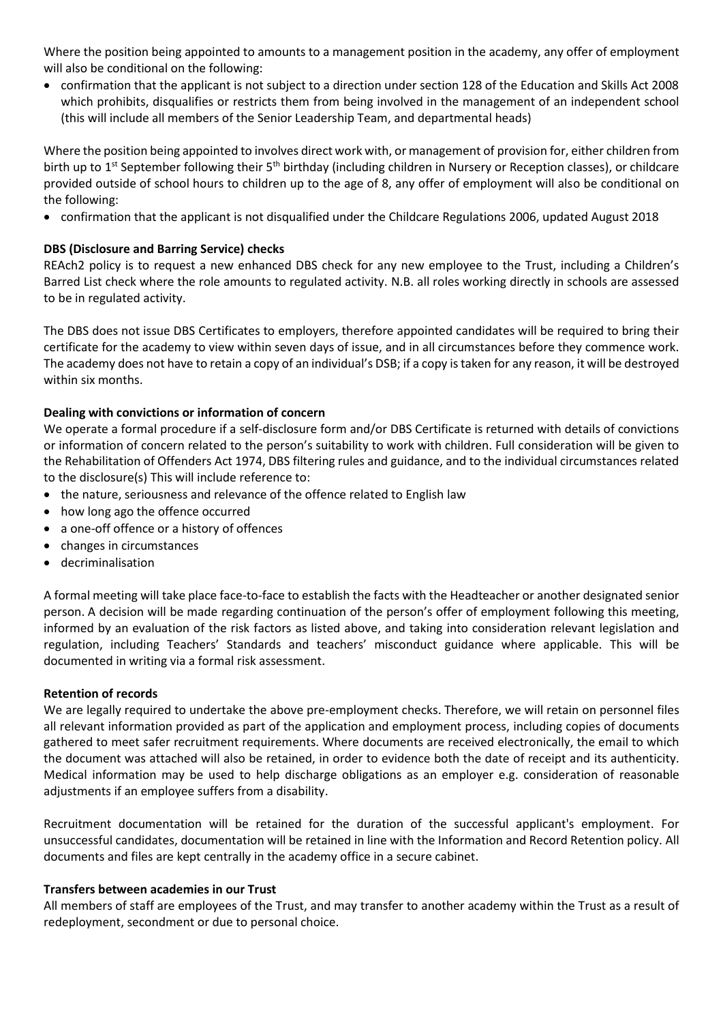Where the position being appointed to amounts to a management position in the academy, any offer of employment will also be conditional on the following:

• confirmation that the applicant is not subject to a direction under section 128 of the Education and Skills Act 2008 which prohibits, disqualifies or restricts them from being involved in the management of an independent school (this will include all members of the Senior Leadership Team, and departmental heads)

Where the position being appointed to involves direct work with, or management of provision for, either children from birth up to 1<sup>st</sup> September following their 5<sup>th</sup> birthday (including children in Nursery or Reception classes), or childcare provided outside of school hours to children up to the age of 8, any offer of employment will also be conditional on the following:

• confirmation that the applicant is not disqualified under the Childcare Regulations 2006, updated August 2018

# **DBS (Disclosure and Barring Service) checks**

REAch2 policy is to request a new enhanced DBS check for any new employee to the Trust, including a Children's Barred List check where the role amounts to regulated activity. N.B. all roles working directly in schools are assessed to be in regulated activity.

The DBS does not issue DBS Certificates to employers, therefore appointed candidates will be required to bring their certificate for the academy to view within seven days of issue, and in all circumstances before they commence work. The academy does not have to retain a copy of an individual's DSB; if a copy istaken for any reason, it will be destroyed within six months.

# **Dealing with convictions or information of concern**

We operate a formal procedure if a self-disclosure form and/or DBS Certificate is returned with details of convictions or information of concern related to the person's suitability to work with children. Full consideration will be given to the Rehabilitation of Offenders Act 1974, DBS filtering rules and guidance, and to the individual circumstances related to the disclosure(s) This will include reference to:

- the nature, seriousness and relevance of the offence related to English law
- how long ago the offence occurred
- a one-off offence or a history of offences
- changes in circumstances
- decriminalisation

A formal meeting will take place face-to-face to establish the facts with the Headteacher or another designated senior person. A decision will be made regarding continuation of the person's offer of employment following this meeting, informed by an evaluation of the risk factors as listed above, and taking into consideration relevant legislation and regulation, including Teachers' Standards and teachers' misconduct guidance where applicable. This will be documented in writing via a formal risk assessment.

# **Retention of records**

We are legally required to undertake the above pre-employment checks. Therefore, we will retain on personnel files all relevant information provided as part of the application and employment process, including copies of documents gathered to meet safer recruitment requirements. Where documents are received electronically, the email to which the document was attached will also be retained, in order to evidence both the date of receipt and its authenticity. Medical information may be used to help discharge obligations as an employer e.g. consideration of reasonable adjustments if an employee suffers from a disability.

Recruitment documentation will be retained for the duration of the successful applicant's employment. For unsuccessful candidates, documentation will be retained in line with the Information and Record Retention policy. All documents and files are kept centrally in the academy office in a secure cabinet.

# **Transfers between academies in our Trust**

All members of staff are employees of the Trust, and may transfer to another academy within the Trust as a result of redeployment, secondment or due to personal choice.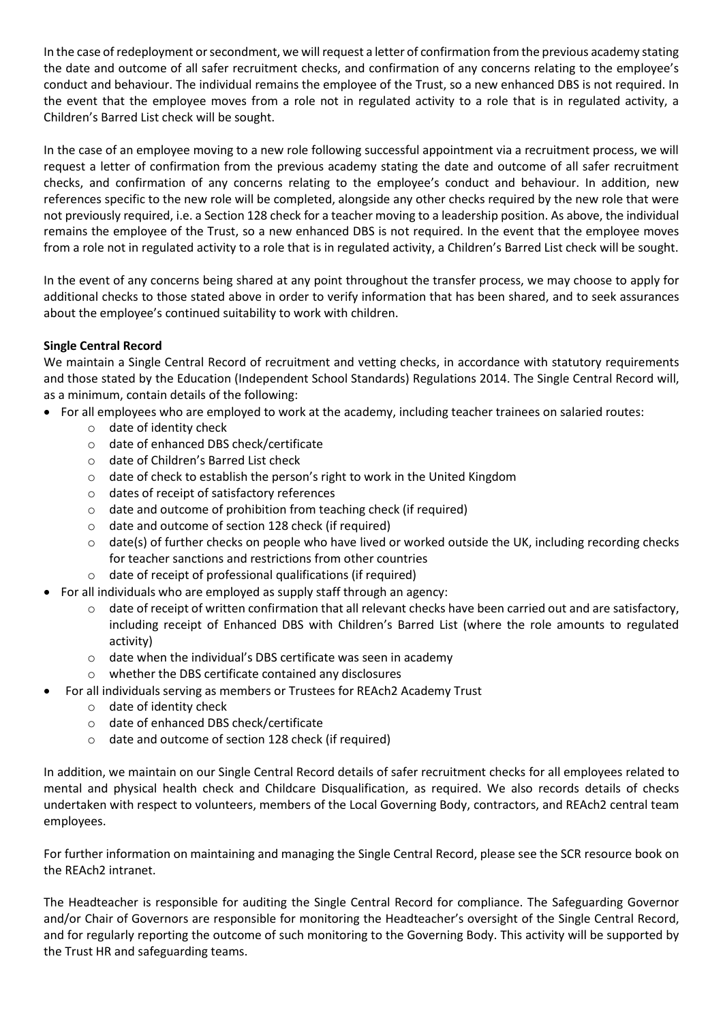In the case of redeployment or secondment, we will request a letter of confirmation from the previous academy stating the date and outcome of all safer recruitment checks, and confirmation of any concerns relating to the employee's conduct and behaviour. The individual remains the employee of the Trust, so a new enhanced DBS is not required. In the event that the employee moves from a role not in regulated activity to a role that is in regulated activity, a Children's Barred List check will be sought.

In the case of an employee moving to a new role following successful appointment via a recruitment process, we will request a letter of confirmation from the previous academy stating the date and outcome of all safer recruitment checks, and confirmation of any concerns relating to the employee's conduct and behaviour. In addition, new references specific to the new role will be completed, alongside any other checks required by the new role that were not previously required, i.e. a Section 128 check for a teacher moving to a leadership position. As above, the individual remains the employee of the Trust, so a new enhanced DBS is not required. In the event that the employee moves from a role not in regulated activity to a role that is in regulated activity, a Children's Barred List check will be sought.

In the event of any concerns being shared at any point throughout the transfer process, we may choose to apply for additional checks to those stated above in order to verify information that has been shared, and to seek assurances about the employee's continued suitability to work with children.

# **Single Central Record**

We maintain a Single Central Record of recruitment and vetting checks, in accordance with statutory requirements and those stated by the Education (Independent School Standards) Regulations 2014. The Single Central Record will, as a minimum, contain details of the following:

- For all employees who are employed to work at the academy, including teacher trainees on salaried routes:
	- o date of identity check
	- o date of enhanced DBS check/certificate
	- o date of Children's Barred List check
	- o date of check to establish the person's right to work in the United Kingdom
	- o dates of receipt of satisfactory references
	- o date and outcome of prohibition from teaching check (if required)
	- o date and outcome of section 128 check (if required)
	- $\circ$  date(s) of further checks on people who have lived or worked outside the UK, including recording checks for teacher sanctions and restrictions from other countries
	- o date of receipt of professional qualifications (if required)
- For all individuals who are employed as supply staff through an agency:
	- $\circ$  date of receipt of written confirmation that all relevant checks have been carried out and are satisfactory, including receipt of Enhanced DBS with Children's Barred List (where the role amounts to regulated activity)
	- o date when the individual's DBS certificate was seen in academy
	- o whether the DBS certificate contained any disclosures
- For all individuals serving as members or Trustees for REAch2 Academy Trust
	- o date of identity check
	- o date of enhanced DBS check/certificate
	- o date and outcome of section 128 check (if required)

In addition, we maintain on our Single Central Record details of safer recruitment checks for all employees related to mental and physical health check and Childcare Disqualification, as required. We also records details of checks undertaken with respect to volunteers, members of the Local Governing Body, contractors, and REAch2 central team employees.

For further information on maintaining and managing the Single Central Record, please see the SCR resource book on the REAch2 intranet.

The Headteacher is responsible for auditing the Single Central Record for compliance. The Safeguarding Governor and/or Chair of Governors are responsible for monitoring the Headteacher's oversight of the Single Central Record, and for regularly reporting the outcome of such monitoring to the Governing Body. This activity will be supported by the Trust HR and safeguarding teams.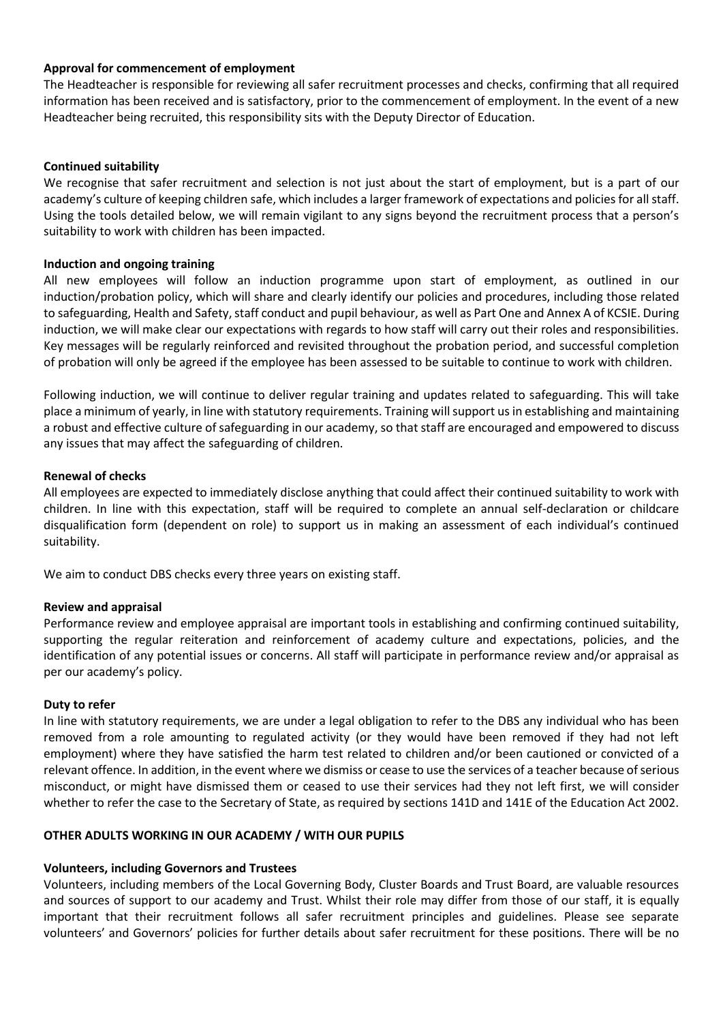# **Approval for commencement of employment**

The Headteacher is responsible for reviewing all safer recruitment processes and checks, confirming that all required information has been received and is satisfactory, prior to the commencement of employment. In the event of a new Headteacher being recruited, this responsibility sits with the Deputy Director of Education.

# **Continued suitability**

We recognise that safer recruitment and selection is not just about the start of employment, but is a part of our academy's culture of keeping children safe, which includes a larger framework of expectations and policies for all staff. Using the tools detailed below, we will remain vigilant to any signs beyond the recruitment process that a person's suitability to work with children has been impacted.

# **Induction and ongoing training**

All new employees will follow an induction programme upon start of employment, as outlined in our induction/probation policy, which will share and clearly identify our policies and procedures, including those related to safeguarding, Health and Safety, staff conduct and pupil behaviour, as well as Part One and Annex A of KCSIE. During induction, we will make clear our expectations with regards to how staff will carry out their roles and responsibilities. Key messages will be regularly reinforced and revisited throughout the probation period, and successful completion of probation will only be agreed if the employee has been assessed to be suitable to continue to work with children.

Following induction, we will continue to deliver regular training and updates related to safeguarding. This will take place a minimum of yearly, in line with statutory requirements. Training will support us in establishing and maintaining a robust and effective culture of safeguarding in our academy, so that staff are encouraged and empowered to discuss any issues that may affect the safeguarding of children.

#### **Renewal of checks**

All employees are expected to immediately disclose anything that could affect their continued suitability to work with children. In line with this expectation, staff will be required to complete an annual self-declaration or childcare disqualification form (dependent on role) to support us in making an assessment of each individual's continued suitability.

We aim to conduct DBS checks every three years on existing staff.

# **Review and appraisal**

Performance review and employee appraisal are important tools in establishing and confirming continued suitability, supporting the regular reiteration and reinforcement of academy culture and expectations, policies, and the identification of any potential issues or concerns. All staff will participate in performance review and/or appraisal as per our academy's policy.

# **Duty to refer**

In line with statutory requirements, we are under a legal obligation to refer to the DBS any individual who has been removed from a role amounting to regulated activity (or they would have been removed if they had not left employment) where they have satisfied the harm test related to children and/or been cautioned or convicted of a relevant offence. In addition, in the event where we dismiss or cease to use the services of a teacher because of serious misconduct, or might have dismissed them or ceased to use their services had they not left first, we will consider whether to refer the case to the Secretary of State, as required by sections 141D and 141E of the Education Act 2002.

# **OTHER ADULTS WORKING IN OUR ACADEMY / WITH OUR PUPILS**

# **Volunteers, including Governors and Trustees**

Volunteers, including members of the Local Governing Body, Cluster Boards and Trust Board, are valuable resources and sources of support to our academy and Trust. Whilst their role may differ from those of our staff, it is equally important that their recruitment follows all safer recruitment principles and guidelines. Please see separate volunteers' and Governors' policies for further details about safer recruitment for these positions. There will be no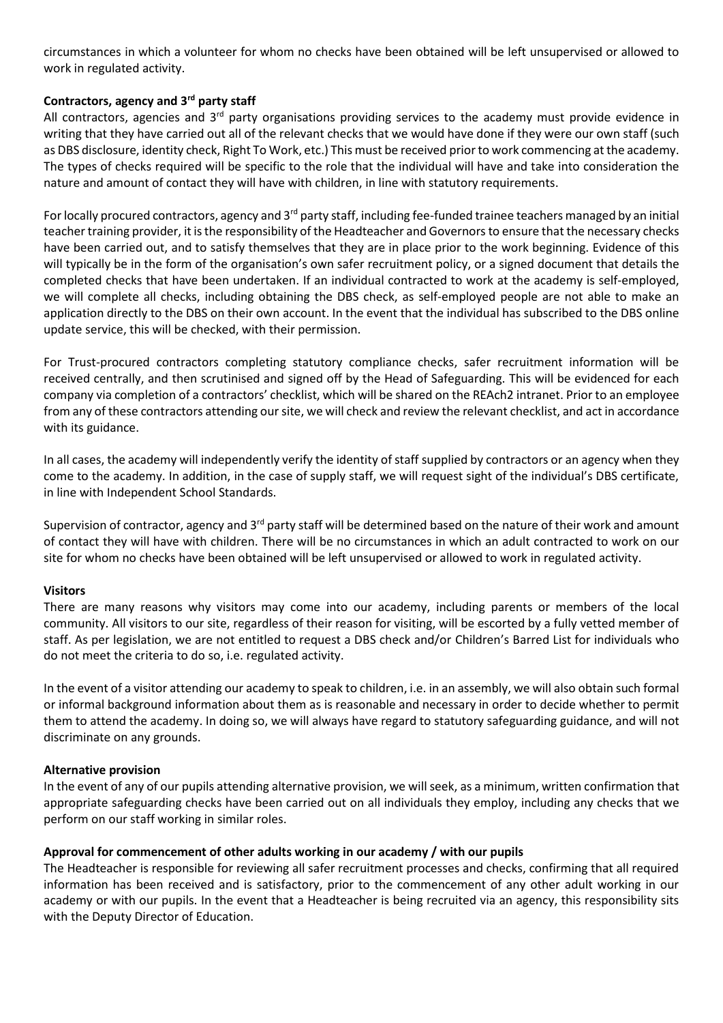circumstances in which a volunteer for whom no checks have been obtained will be left unsupervised or allowed to work in regulated activity.

# **Contractors, agency and 3rd party staff**

All contractors, agencies and 3<sup>rd</sup> party organisations providing services to the academy must provide evidence in writing that they have carried out all of the relevant checks that we would have done if they were our own staff (such as DBS disclosure, identity check, Right To Work, etc.) This must be received prior to work commencing at the academy. The types of checks required will be specific to the role that the individual will have and take into consideration the nature and amount of contact they will have with children, in line with statutory requirements.

For locally procured contractors, agency and 3<sup>rd</sup> party staff, including fee-funded trainee teachers managed by an initial teacher training provider, it is the responsibility of the Headteacher and Governors to ensure that the necessary checks have been carried out, and to satisfy themselves that they are in place prior to the work beginning. Evidence of this will typically be in the form of the organisation's own safer recruitment policy, or a signed document that details the completed checks that have been undertaken. If an individual contracted to work at the academy is self-employed, we will complete all checks, including obtaining the DBS check, as self-employed people are not able to make an application directly to the DBS on their own account. In the event that the individual has subscribed to the DBS online update service, this will be checked, with their permission.

For Trust-procured contractors completing statutory compliance checks, safer recruitment information will be received centrally, and then scrutinised and signed off by the Head of Safeguarding. This will be evidenced for each company via completion of a contractors' checklist, which will be shared on the REAch2 intranet. Prior to an employee from any of these contractors attending our site, we will check and review the relevant checklist, and act in accordance with its guidance.

In all cases, the academy will independently verify the identity of staff supplied by contractors or an agency when they come to the academy. In addition, in the case of supply staff, we will request sight of the individual's DBS certificate, in line with Independent School Standards.

Supervision of contractor, agency and 3<sup>rd</sup> party staff will be determined based on the nature of their work and amount of contact they will have with children. There will be no circumstances in which an adult contracted to work on our site for whom no checks have been obtained will be left unsupervised or allowed to work in regulated activity.

# **Visitors**

There are many reasons why visitors may come into our academy, including parents or members of the local community. All visitors to our site, regardless of their reason for visiting, will be escorted by a fully vetted member of staff. As per legislation, we are not entitled to request a DBS check and/or Children's Barred List for individuals who do not meet the criteria to do so, i.e. regulated activity.

In the event of a visitor attending our academy to speak to children, i.e. in an assembly, we will also obtain such formal or informal background information about them as is reasonable and necessary in order to decide whether to permit them to attend the academy. In doing so, we will always have regard to statutory safeguarding guidance, and will not discriminate on any grounds.

# **Alternative provision**

In the event of any of our pupils attending alternative provision, we will seek, as a minimum, written confirmation that appropriate safeguarding checks have been carried out on all individuals they employ, including any checks that we perform on our staff working in similar roles.

# **Approval for commencement of other adults working in our academy / with our pupils**

The Headteacher is responsible for reviewing all safer recruitment processes and checks, confirming that all required information has been received and is satisfactory, prior to the commencement of any other adult working in our academy or with our pupils. In the event that a Headteacher is being recruited via an agency, this responsibility sits with the Deputy Director of Education.